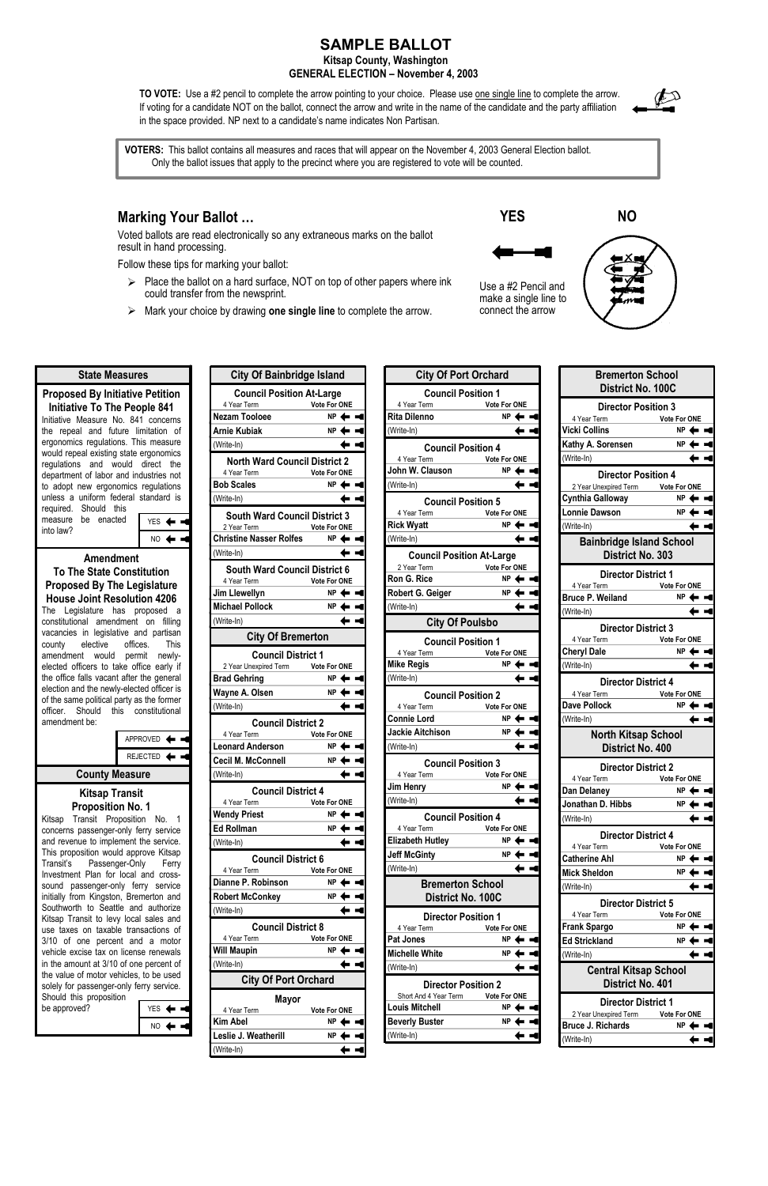## **SAMPLE BALLOT**

## **Kitsap County, Washington GENERAL ELECTION – November 4, 2003**

**TO VOTE:** Use a #2 pencil to complete the arrow pointing to your choice. Please use one single line to complete the arrow. If voting for a candidate NOT on the ballot, connect the arrow and write in the name of the candidate and the party affiliation in the space provided. NP next to a candidate's name indicates Non Partisan.



 $\triangleright$  Place the ballot on a hard surface, NOT on top of other papers where ink could transfer from the newsprint.

**C**<sup>1</sup> Of B<sup>1</sup>  $\frac{1}{2}$  Of B<sup>1</sup>  $\frac{1}{2}$  Island Island

## **Marking Your Ballot …**

Voted ballots are read electronically so any extraneous marks on the ballot result in hand processing.

Follow these tips for marking your ballot:

¾ Mark your choice by drawing **one single line** to complete the arrow.

 **YES NO** Use a #2 Pencil and make a single line to connect the arrow



**VOTERS:** This ballot contains all measures and races that will appear on the November 4, 2003 General Election ballot. Only the ballot issues that apply to the precinct where you are registered to vote will be counted.

**Proposed By Initiative Petition** 

Investment Plan for local and crosssound passenger-only ferry service initially from Kingston, Bremerton and Southworth to Seattle and authorize Kitsap Transit to levy local sales and use taxes on taxable transactions of 3/10 of one percent and a motor vehicle excise tax on license renewals in the amount at 3/10 of one percent of the value of motor vehicles, to be used solely for passenger-only ferry service. Should this proposition be approved?  $YES$   $\blacktriangleleft$   $\blacktriangleleft$ 

NO <

**State Measures**

| <b>Initiative To The People 841</b><br>Initiative Measure No. 841 concerns<br>the repeal and future limitation of<br>ergonomics regulations. This measure<br>would repeal existing state ergonomics<br>regulations and would direct the<br>department of labor and industries not<br>to adopt new ergonomics regulations<br>unless a uniform federal standard is<br>Should this<br>required.<br>measure be enacted<br><b>YES</b><br>into law?<br>NO                                                                                        | N <sub>t</sub><br>Ar<br>$($ <sup><math>\mathsf{W}</math></sup><br>B<br>$($ V<br>CI                       |
|--------------------------------------------------------------------------------------------------------------------------------------------------------------------------------------------------------------------------------------------------------------------------------------------------------------------------------------------------------------------------------------------------------------------------------------------------------------------------------------------------------------------------------------------|----------------------------------------------------------------------------------------------------------|
| <b>Amendment</b>                                                                                                                                                                                                                                                                                                                                                                                                                                                                                                                           | $($ <sup><math>\mathcal{N}</math></sup>                                                                  |
| <b>To The State Constitution</b>                                                                                                                                                                                                                                                                                                                                                                                                                                                                                                           |                                                                                                          |
| <b>Proposed By The Legislature</b><br><b>House Joint Resolution 4206</b><br>Legislature has proposed<br>The<br><sub>a</sub><br>constitutional amendment on<br>filling<br>vacancies in legislative and partisan<br>elective offices.<br>This<br>county<br>would permit<br>amendment<br>newly-<br>elected officers to take office early if<br>the office falls vacant after the general<br>election and the newly-elected officer is<br>of the same political party as the former<br>Should this constitutional<br>officer.<br>amendment be: | Jiı<br>Mi<br>$($ <sup><math>\mathsf{W}</math></sup><br>Br<br>W<br>$($ <sup><math>\mathsf{W}</math></sup> |
| <b>APPROVED</b>                                                                                                                                                                                                                                                                                                                                                                                                                                                                                                                            | Le                                                                                                       |
| <b>REJECTED</b>                                                                                                                                                                                                                                                                                                                                                                                                                                                                                                                            | Cι                                                                                                       |
| <b>County Measure</b>                                                                                                                                                                                                                                                                                                                                                                                                                                                                                                                      | $($ W                                                                                                    |
| <b>Kitsap Transit</b><br><b>Proposition No. 1</b><br>Transit Proposition No.<br>Kitsap<br>1<br>concerns passenger-only ferry service<br>and revenue to implement the service.<br>This proposition would approve Kitsap<br>Transit's<br>Passenger-Only<br>Ferry                                                                                                                                                                                                                                                                             | W<br>E<br>$($ <sup><math>\mathsf{W}</math></sup>                                                         |

| <b>City Of Bainbridge Island</b>                 |                                      |
|--------------------------------------------------|--------------------------------------|
| <b>Council Position At-Large</b>                 |                                      |
| 4 Year Term<br><b>Nezam Tooloee</b>              | Vote For ONE<br>$NP \Leftrightarrow$ |
|                                                  |                                      |
| <b>Arnie Kubiak</b>                              | ΝP                                   |
| (Write-In)                                       |                                      |
| <b>North Ward Council District 2</b>             |                                      |
| 4 Year Term<br>Vote For ONE<br><b>Bob Scales</b> | $NP$ $\leftarrow$                    |
| (Write-In)                                       |                                      |
| <b>South Ward Council District 3</b>             |                                      |
| 2 Year Term                                      | <b>Vote For ONE</b>                  |
| <b>Christine Nasser Rolfes</b>                   | ΝP                                   |
| (Write-In)                                       |                                      |
| <b>South Ward Council District 6</b>             |                                      |
| 4 Year Term                                      | Vote For ONE                         |
| Jim Llewellyn                                    | $NP \leftarrow$                      |
| <b>Michael Pollock</b>                           | NP.                                  |
| (Write-In)                                       |                                      |
| <b>City Of Bremerton</b>                         |                                      |
| <b>Council District 1</b>                        |                                      |
| 2 Year Unexpired Term Vote For ONE               |                                      |
| <b>Brad Gehring</b>                              | NΡ                                   |
| Wayne A. Olsen                                   | NP                                   |
| (Write-In)                                       |                                      |
| <b>Council District 2</b>                        |                                      |
| 4 Year Term Vote For ONE                         |                                      |
| <b>Leonard Anderson</b>                          | NP                                   |
| <b>Cecil M. McConnell</b>                        | ΝP                                   |
| (Write-In)                                       |                                      |
| <b>Council District 4</b>                        |                                      |
| 4 Year Term                                      | <b>Vote For ONE</b>                  |
| <b>Wendy Priest</b>                              | NΡ                                   |
| <b>Ed Rollman</b>                                | ΝP                                   |
| (Write-In)                                       |                                      |
| <b>Council District 6</b>                        |                                      |
| 4 Year Term<br>Dianne P. Robinson                | <b>Vote For ONE</b><br>ΝP            |
|                                                  | ΝP                                   |
| <b>Robert McConkey</b><br>(Write-In)             |                                      |
|                                                  |                                      |
| <b>Council District 8</b><br>4 Year Term         | <b>Vote For ONE</b>                  |
| <b>Will Maupin</b>                               | NΡ                                   |
| (Write-In)                                       |                                      |
| <b>City Of Port Orchard</b>                      |                                      |
| Mayor                                            |                                      |
| 4 Year Term                                      | <b>Vote For ONE</b>                  |
| Kim Abel                                         | ΝP                                   |
|                                                  |                                      |
| Leslie J. Weatherill                             | ΝP                                   |

| <b>City Of Port Orchard</b>                         |                                  |
|-----------------------------------------------------|----------------------------------|
| <b>Council Position 1</b>                           |                                  |
| 4 Year Term                                         | <b>Vote For ONE</b>              |
| <b>Rita Dilenno</b>                                 | ΝP                               |
| (Write-In)                                          |                                  |
| <b>Council Position 4</b>                           |                                  |
| 4 Year Term                                         | Vote For ONE                     |
| John W. Clauson                                     | NP <sub>4</sub>                  |
| (Write-In)                                          |                                  |
| <b>Council Position 5</b>                           |                                  |
| 4 Year Term<br><b>Rick Wyatt</b>                    | <b>Vote For ONE</b><br>ΝP        |
| (Write-In)                                          |                                  |
|                                                     |                                  |
| <b>Council Position At-Large</b><br>2 Year Term     | Vote For ONE                     |
| Ron G. Rice                                         | <b>NP</b>                        |
| Robert G. Geiger                                    | NP                               |
| (Write-In)                                          |                                  |
| <b>City Of Poulsbo</b>                              |                                  |
| <b>Council Position 1</b>                           |                                  |
| 4 Year Term                                         | <b>Vote For ONE</b>              |
| <b>Mike Regis</b>                                   | ΝP                               |
| (Write-In)                                          |                                  |
| <b>Council Position 2</b>                           |                                  |
| 4 Year Term                                         | <b>Vote For ONE</b>              |
| <b>Connie Lord</b>                                  | ΝP                               |
| <b>Jackie Aitchison</b>                             | <b>NP</b>                        |
| (Write-In)                                          |                                  |
| <b>Council Position 3</b>                           |                                  |
| 4 Year Term                                         | <b>Vote For ONE</b>              |
| Jim Henry                                           | NP                               |
| (Write-In)                                          |                                  |
| <b>Council Position 4</b>                           |                                  |
| 4 Year Term<br><b>Elizabeth Hutley</b>              | <b>Vote For ONE</b><br>NΡ        |
| <b>Jeff McGinty</b>                                 | ΝP                               |
| (Write-In)                                          |                                  |
| <b>Bremerton School</b>                             |                                  |
| District No. 100C                                   |                                  |
| <b>Director Position 1</b>                          |                                  |
| 4 Year Term<br><b>Pat Jones</b>                     | <b>Vote For ONE</b><br><b>NP</b> |
| <b>Michelle White</b>                               | NΡ                               |
|                                                     |                                  |
|                                                     |                                  |
| (Write-In)                                          |                                  |
| <b>Director Position 2</b><br>Short And 4 Year Term | <b>Vote For ONE</b>              |
| Louis Mitchell                                      | NΡ                               |
| <b>Beverly Buster</b>                               | NΡ                               |

| <b>Bremerton School</b><br>District No. 100C               |                     |
|------------------------------------------------------------|---------------------|
| <b>Director Position 3</b>                                 |                     |
| 4 Year Term                                                | <b>Vote For ONE</b> |
| <b>Vicki Collins</b>                                       | NΡ                  |
| Kathy A. Sorensen                                          | ΝP                  |
| (Write-In)                                                 |                     |
| <b>Director Position 4</b>                                 |                     |
| 2 Year Unexpired Term Vote For ONE                         |                     |
| <b>Cynthia Galloway</b>                                    | NP <                |
| <b>Lonnie Dawson</b>                                       | <b>NP</b>           |
| (Write-In)                                                 |                     |
| <b>Bainbridge Island School</b><br><b>District No. 303</b> |                     |
| <b>Director District 1</b>                                 |                     |
| 4 Year Term                                                | Vote For ONE        |
| <b>Bruce P. Weiland</b>                                    | NP                  |
| (Write-In)                                                 |                     |
| <b>Director District 3</b>                                 |                     |
| 4 Year Term                                                | <b>Vote For ONE</b> |
| <b>Cheryl Dale</b>                                         | ΝP                  |
| (Write-In)                                                 |                     |
| <b>Director District 4</b><br>4 Year Term                  | Vote For ONE        |
| <b>Dave Pollock</b>                                        | NP.                 |
| (Write-In)                                                 |                     |
| <b>North Kitsap School</b><br>District No. 400             |                     |
| <b>Director District 2</b>                                 |                     |
| 4 Year Term                                                | <b>Vote For ONE</b> |
| Dan Delaney                                                | NΡ                  |
| Jonathan D. Hibbs                                          | ΝP                  |
| (Write-In)                                                 |                     |
| <b>Director District 4</b>                                 |                     |
| 4 Year Term                                                | <b>Vote For ONE</b> |
| <b>Catherine Ahl</b>                                       | NP                  |
| <b>Mick Sheldon</b>                                        | NΡ                  |
| (Write-In)                                                 |                     |
| <b>Director District 5</b>                                 |                     |
| 4 Year Term                                                | <b>Vote For ONE</b> |
| <b>Frank Spargo</b>                                        | ΝP                  |
| <b>Ed Strickland</b>                                       | NΡ                  |
| (Write-In)                                                 |                     |
| <b>Central Kitsap School</b><br>District No. 401           |                     |
|                                                            |                     |
| <b>Director District 1</b>                                 |                     |
| 2 Year Unexpired Term                                      | Vote For ONE        |
| <b>Bruce J. Richards</b>                                   | NΡ                  |